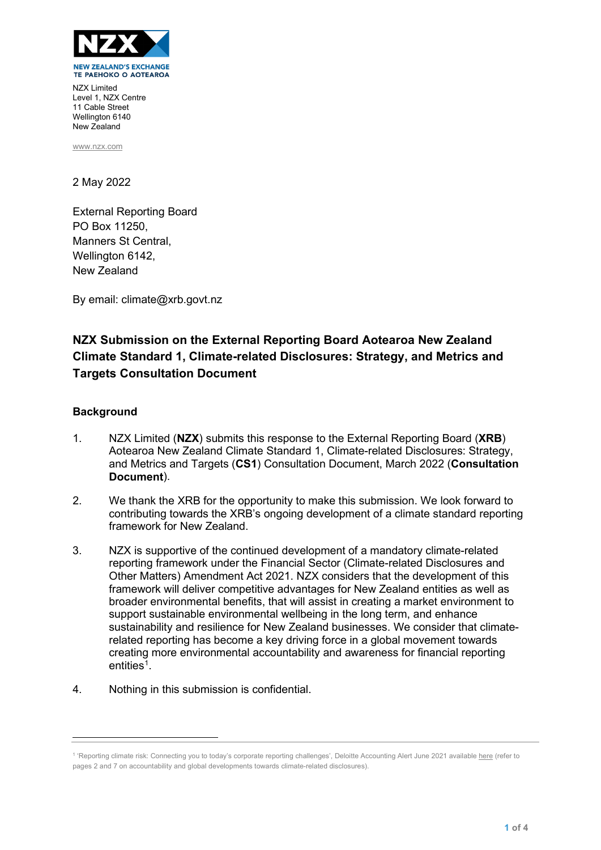

NZX Limited Level 1, NZX Centre 11 Cable Street Wellington 6140 New Zealand

[www.nzx.com](http://www.nzx.com/)

2 May 2022

External Reporting Board PO Box 11250, Manners St Central, Wellington 6142, New Zealand

By email: climate@xrb.govt.nz

# **NZX Submission on the External Reporting Board Aotearoa New Zealand Climate Standard 1, Climate-related Disclosures: Strategy, and Metrics and Targets Consultation Document**

## **Background**

- 1. NZX Limited (**NZX**) submits this response to the External Reporting Board (**XRB**) Aotearoa New Zealand Climate Standard 1, Climate-related Disclosures: Strategy, and Metrics and Targets (**CS1**) Consultation Document, March 2022 (**Consultation Document**).
- 2. We thank the XRB for the opportunity to make this submission. We look forward to contributing towards the XRB's ongoing development of a climate standard reporting framework for New Zealand.
- 3. NZX is supportive of the continued development of a mandatory climate-related reporting framework under the Financial Sector (Climate-related Disclosures and Other Matters) Amendment Act 2021. NZX considers that the development of this framework will deliver competitive advantages for New Zealand entities as well as broader environmental benefits, that will assist in creating a market environment to support sustainable environmental wellbeing in the long term, and enhance sustainability and resilience for New Zealand businesses. We consider that climaterelated reporting has become a key driving force in a global movement towards creating more environmental accountability and awareness for financial reporting entities<sup>[1](#page-0-0)</sup>.
- 4. Nothing in this submission is confidential.

<span id="page-0-0"></span><sup>&</sup>lt;sup>1</sup> 'Reporting climate risk: Connecting you to today's corporate reporting challenges', Deloitte Accounting Alert June 2021 availabl[e here](https://www2.deloitte.com/nz/en/pages/audit/articles/reporting-climate-risk.html) (refer to pages 2 and 7 on accountability and global developments towards climate-related disclosures).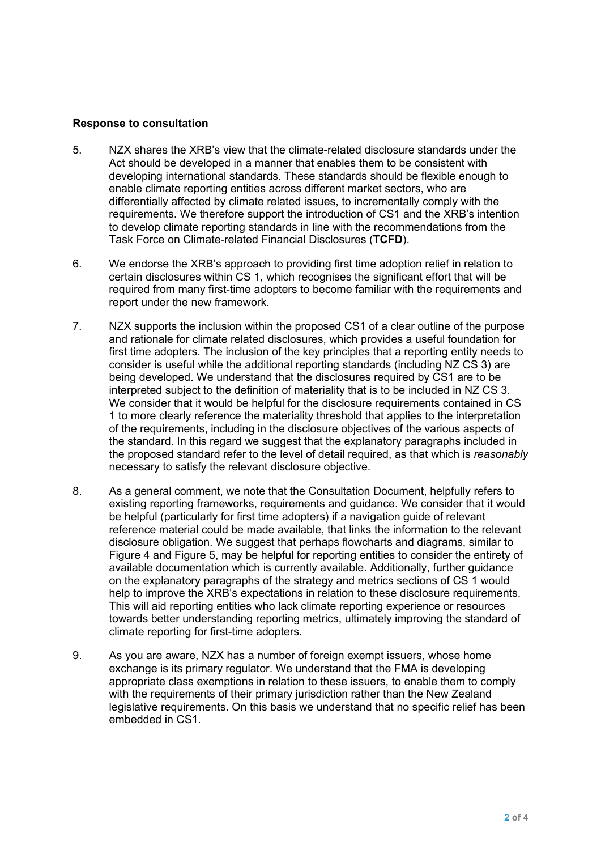### **Response to consultation**

- 5. NZX shares the XRB's view that the climate-related disclosure standards under the Act should be developed in a manner that enables them to be consistent with developing international standards. These standards should be flexible enough to enable climate reporting entities across different market sectors, who are differentially affected by climate related issues, to incrementally comply with the requirements. We therefore support the introduction of CS1 and the XRB's intention to develop climate reporting standards in line with the recommendations from the Task Force on Climate-related Financial Disclosures (**TCFD**).
- 6. We endorse the XRB's approach to providing first time adoption relief in relation to certain disclosures within CS 1, which recognises the significant effort that will be required from many first-time adopters to become familiar with the requirements and report under the new framework.
- 7. NZX supports the inclusion within the proposed CS1 of a clear outline of the purpose and rationale for climate related disclosures, which provides a useful foundation for first time adopters. The inclusion of the key principles that a reporting entity needs to consider is useful while the additional reporting standards (including NZ CS 3) are being developed. We understand that the disclosures required by CS1 are to be interpreted subject to the definition of materiality that is to be included in NZ CS 3. We consider that it would be helpful for the disclosure requirements contained in CS 1 to more clearly reference the materiality threshold that applies to the interpretation of the requirements, including in the disclosure objectives of the various aspects of the standard. In this regard we suggest that the explanatory paragraphs included in the proposed standard refer to the level of detail required, as that which is *reasonably* necessary to satisfy the relevant disclosure objective.
- 8. As a general comment, we note that the Consultation Document, helpfully refers to existing reporting frameworks, requirements and guidance. We consider that it would be helpful (particularly for first time adopters) if a navigation guide of relevant reference material could be made available, that links the information to the relevant disclosure obligation. We suggest that perhaps flowcharts and diagrams, similar to Figure 4 and Figure 5, may be helpful for reporting entities to consider the entirety of available documentation which is currently available. Additionally, further guidance on the explanatory paragraphs of the strategy and metrics sections of CS 1 would help to improve the XRB's expectations in relation to these disclosure requirements. This will aid reporting entities who lack climate reporting experience or resources towards better understanding reporting metrics, ultimately improving the standard of climate reporting for first-time adopters.
- 9. As you are aware, NZX has a number of foreign exempt issuers, whose home exchange is its primary regulator. We understand that the FMA is developing appropriate class exemptions in relation to these issuers, to enable them to comply with the requirements of their primary jurisdiction rather than the New Zealand legislative requirements. On this basis we understand that no specific relief has been embedded in CS1.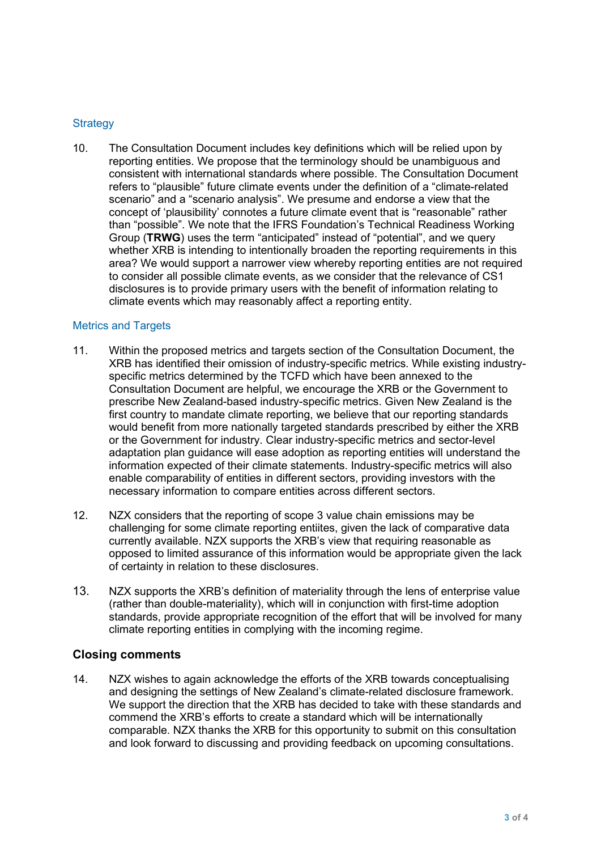# **Strategy**

10. The Consultation Document includes key definitions which will be relied upon by reporting entities. We propose that the terminology should be unambiguous and consistent with international standards where possible. The Consultation Document refers to "plausible" future climate events under the definition of a "climate-related scenario" and a "scenario analysis". We presume and endorse a view that the concept of 'plausibility' connotes a future climate event that is "reasonable" rather than "possible". We note that the IFRS Foundation's Technical Readiness Working Group (**TRWG**) uses the term "anticipated" instead of "potential", and we query whether XRB is intending to intentionally broaden the reporting requirements in this area? We would support a narrower view whereby reporting entities are not required to consider all possible climate events, as we consider that the relevance of CS1 disclosures is to provide primary users with the benefit of information relating to climate events which may reasonably affect a reporting entity.

#### Metrics and Targets

- 11. Within the proposed metrics and targets section of the Consultation Document, the XRB has identified their omission of industry-specific metrics. While existing industryspecific metrics determined by the TCFD which have been annexed to the Consultation Document are helpful, we encourage the XRB or the Government to prescribe New Zealand-based industry-specific metrics. Given New Zealand is the first country to mandate climate reporting, we believe that our reporting standards would benefit from more nationally targeted standards prescribed by either the XRB or the Government for industry. Clear industry-specific metrics and sector-level adaptation plan guidance will ease adoption as reporting entities will understand the information expected of their climate statements. Industry-specific metrics will also enable comparability of entities in different sectors, providing investors with the necessary information to compare entities across different sectors.
- 12. NZX considers that the reporting of scope 3 value chain emissions may be challenging for some climate reporting entiites, given the lack of comparative data currently available. NZX supports the XRB's view that requiring reasonable as opposed to limited assurance of this information would be appropriate given the lack of certainty in relation to these disclosures.
- 13. NZX supports the XRB's definition of materiality through the lens of enterprise value (rather than double-materiality), which will in conjunction with first-time adoption standards, provide appropriate recognition of the effort that will be involved for many climate reporting entities in complying with the incoming regime.

## **Closing comments**

14. NZX wishes to again acknowledge the efforts of the XRB towards conceptualising and designing the settings of New Zealand's climate-related disclosure framework. We support the direction that the XRB has decided to take with these standards and commend the XRB's efforts to create a standard which will be internationally comparable. NZX thanks the XRB for this opportunity to submit on this consultation and look forward to discussing and providing feedback on upcoming consultations.